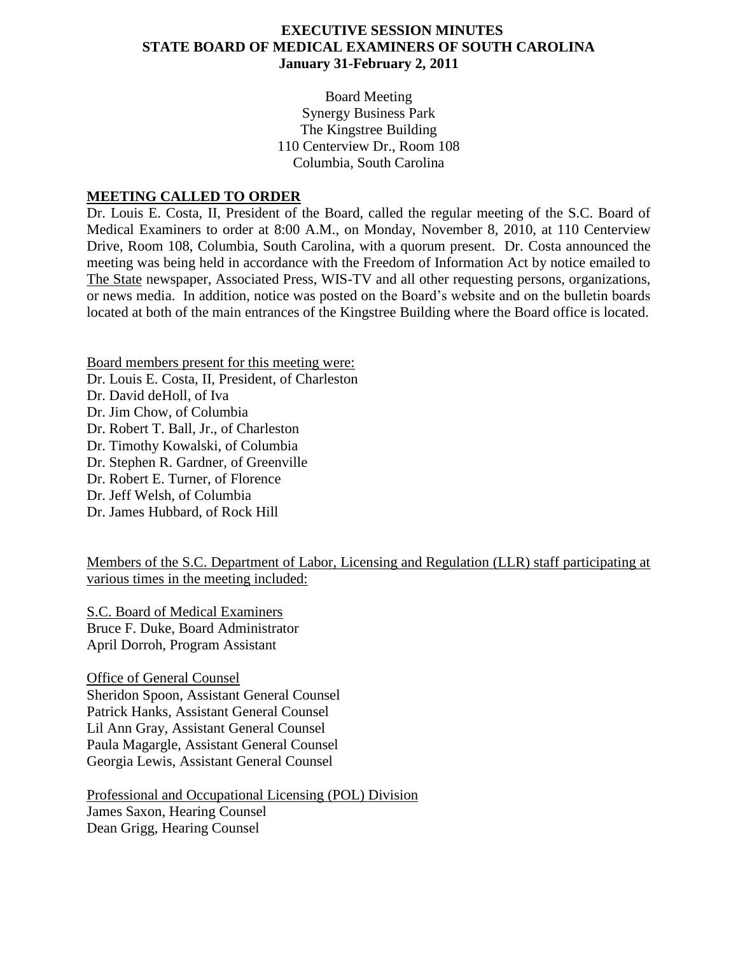### **EXECUTIVE SESSION MINUTES STATE BOARD OF MEDICAL EXAMINERS OF SOUTH CAROLINA January 31-February 2, 2011**

Board Meeting Synergy Business Park The Kingstree Building 110 Centerview Dr., Room 108 Columbia, South Carolina

#### **MEETING CALLED TO ORDER**

Dr. Louis E. Costa, II, President of the Board, called the regular meeting of the S.C. Board of Medical Examiners to order at 8:00 A.M., on Monday, November 8, 2010, at 110 Centerview Drive, Room 108, Columbia, South Carolina, with a quorum present. Dr. Costa announced the meeting was being held in accordance with the Freedom of Information Act by notice emailed to The State newspaper, Associated Press, WIS-TV and all other requesting persons, organizations, or news media. In addition, notice was posted on the Board's website and on the bulletin boards located at both of the main entrances of the Kingstree Building where the Board office is located.

Board members present for this meeting were: Dr. Louis E. Costa, II, President, of Charleston Dr. David deHoll, of Iva Dr. Jim Chow, of Columbia Dr. Robert T. Ball, Jr., of Charleston Dr. Timothy Kowalski, of Columbia Dr. Stephen R. Gardner, of Greenville Dr. Robert E. Turner, of Florence Dr. Jeff Welsh, of Columbia Dr. James Hubbard, of Rock Hill

Members of the S.C. Department of Labor, Licensing and Regulation (LLR) staff participating at various times in the meeting included:

S.C. Board of Medical Examiners Bruce F. Duke, Board Administrator April Dorroh, Program Assistant

Office of General Counsel Sheridon Spoon, Assistant General Counsel Patrick Hanks, Assistant General Counsel Lil Ann Gray, Assistant General Counsel Paula Magargle, Assistant General Counsel Georgia Lewis, Assistant General Counsel

Professional and Occupational Licensing (POL) Division James Saxon, Hearing Counsel Dean Grigg, Hearing Counsel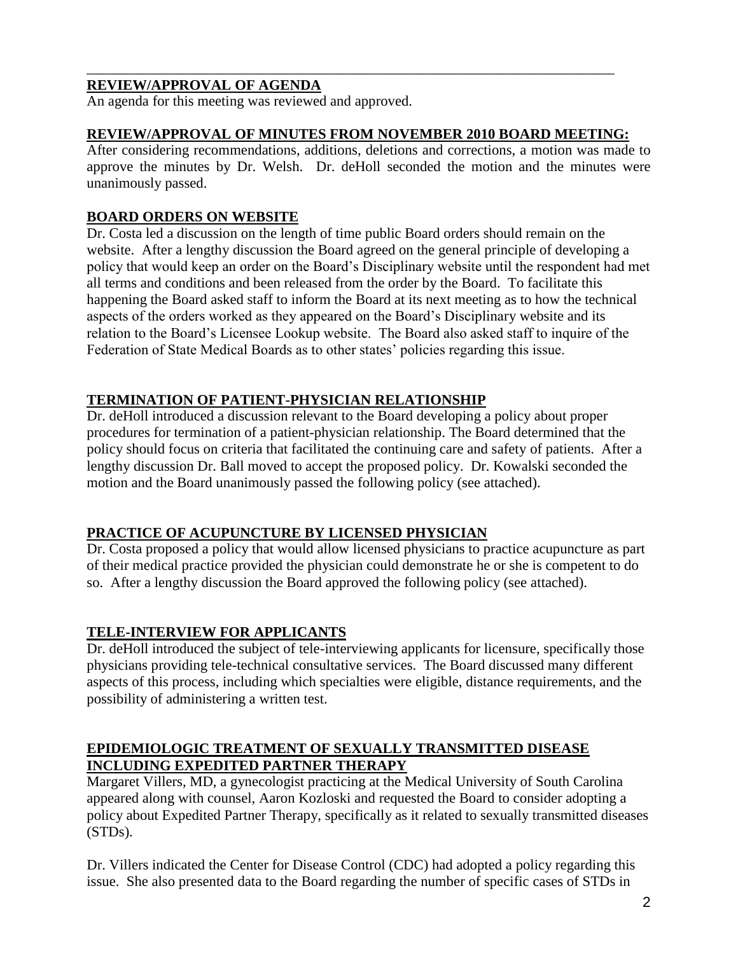## **REVIEW/APPROVAL OF AGENDA**

An agenda for this meeting was reviewed and approved.

### **REVIEW/APPROVAL OF MINUTES FROM NOVEMBER 2010 BOARD MEETING:**

\_\_\_\_\_\_\_\_\_\_\_\_\_\_\_\_\_\_\_\_\_\_\_\_\_\_\_\_\_\_\_\_\_\_\_\_\_\_\_\_\_\_\_\_\_\_\_\_\_\_\_\_\_\_\_\_\_\_\_\_\_\_\_\_\_\_\_\_\_\_\_\_\_

After considering recommendations, additions, deletions and corrections, a motion was made to approve the minutes by Dr. Welsh. Dr. deHoll seconded the motion and the minutes were unanimously passed.

### **BOARD ORDERS ON WEBSITE**

Dr. Costa led a discussion on the length of time public Board orders should remain on the website. After a lengthy discussion the Board agreed on the general principle of developing a policy that would keep an order on the Board's Disciplinary website until the respondent had met all terms and conditions and been released from the order by the Board. To facilitate this happening the Board asked staff to inform the Board at its next meeting as to how the technical aspects of the orders worked as they appeared on the Board's Disciplinary website and its relation to the Board's Licensee Lookup website. The Board also asked staff to inquire of the Federation of State Medical Boards as to other states' policies regarding this issue.

## **TERMINATION OF PATIENT-PHYSICIAN RELATIONSHIP**

Dr. deHoll introduced a discussion relevant to the Board developing a policy about proper procedures for termination of a patient-physician relationship. The Board determined that the policy should focus on criteria that facilitated the continuing care and safety of patients. After a lengthy discussion Dr. Ball moved to accept the proposed policy. Dr. Kowalski seconded the motion and the Board unanimously passed the following policy (see attached).

## **PRACTICE OF ACUPUNCTURE BY LICENSED PHYSICIAN**

Dr. Costa proposed a policy that would allow licensed physicians to practice acupuncture as part of their medical practice provided the physician could demonstrate he or she is competent to do so. After a lengthy discussion the Board approved the following policy (see attached).

## **TELE-INTERVIEW FOR APPLICANTS**

Dr. deHoll introduced the subject of tele-interviewing applicants for licensure, specifically those physicians providing tele-technical consultative services. The Board discussed many different aspects of this process, including which specialties were eligible, distance requirements, and the possibility of administering a written test.

## **EPIDEMIOLOGIC TREATMENT OF SEXUALLY TRANSMITTED DISEASE INCLUDING EXPEDITED PARTNER THERAPY**

Margaret Villers, MD, a gynecologist practicing at the Medical University of South Carolina appeared along with counsel, Aaron Kozloski and requested the Board to consider adopting a policy about Expedited Partner Therapy, specifically as it related to sexually transmitted diseases (STDs).

Dr. Villers indicated the Center for Disease Control (CDC) had adopted a policy regarding this issue. She also presented data to the Board regarding the number of specific cases of STDs in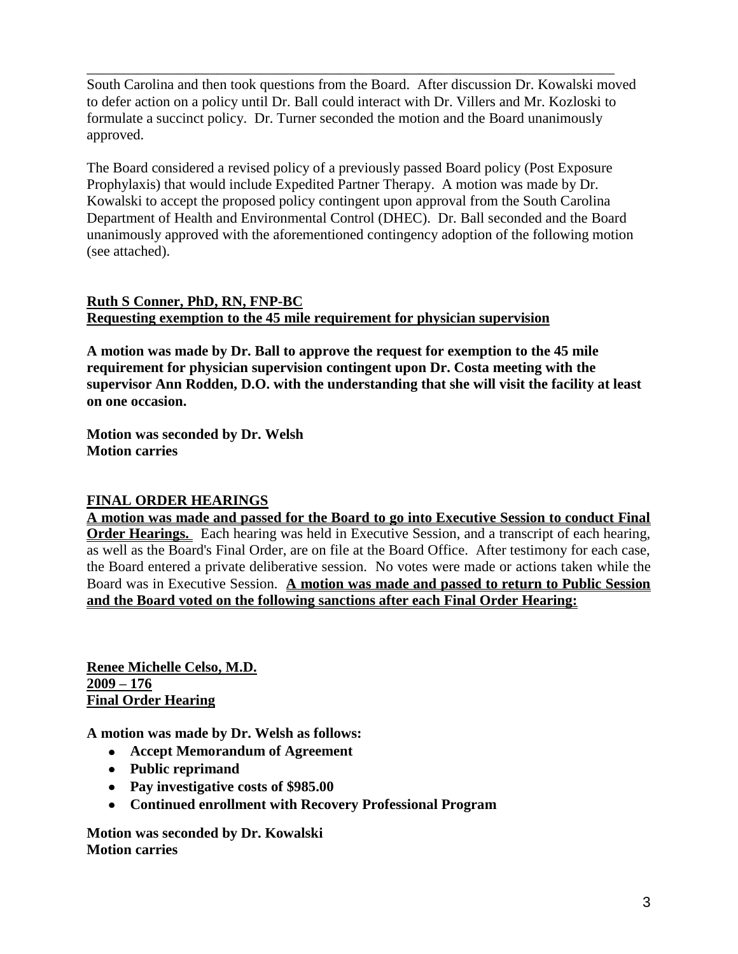South Carolina and then took questions from the Board. After discussion Dr. Kowalski moved to defer action on a policy until Dr. Ball could interact with Dr. Villers and Mr. Kozloski to formulate a succinct policy. Dr. Turner seconded the motion and the Board unanimously approved.

\_\_\_\_\_\_\_\_\_\_\_\_\_\_\_\_\_\_\_\_\_\_\_\_\_\_\_\_\_\_\_\_\_\_\_\_\_\_\_\_\_\_\_\_\_\_\_\_\_\_\_\_\_\_\_\_\_\_\_\_\_\_\_\_\_\_\_\_\_\_\_\_\_

The Board considered a revised policy of a previously passed Board policy (Post Exposure Prophylaxis) that would include Expedited Partner Therapy. A motion was made by Dr. Kowalski to accept the proposed policy contingent upon approval from the South Carolina Department of Health and Environmental Control (DHEC). Dr. Ball seconded and the Board unanimously approved with the aforementioned contingency adoption of the following motion (see attached).

## **Ruth S Conner, PhD, RN, FNP-BC Requesting exemption to the 45 mile requirement for physician supervision**

**A motion was made by Dr. Ball to approve the request for exemption to the 45 mile requirement for physician supervision contingent upon Dr. Costa meeting with the supervisor Ann Rodden, D.O. with the understanding that she will visit the facility at least on one occasion.**

**Motion was seconded by Dr. Welsh Motion carries**

## **FINAL ORDER HEARINGS**

**A motion was made and passed for the Board to go into Executive Session to conduct Final Order Hearings.** Each hearing was held in Executive Session, and a transcript of each hearing, as well as the Board's Final Order, are on file at the Board Office. After testimony for each case, the Board entered a private deliberative session. No votes were made or actions taken while the Board was in Executive Session. **A motion was made and passed to return to Public Session and the Board voted on the following sanctions after each Final Order Hearing:**

**Renee Michelle Celso, M.D. 2009 – 176 Final Order Hearing**

**A motion was made by Dr. Welsh as follows:**

- **Accept Memorandum of Agreement**
- **Public reprimand**
- **Pay investigative costs of \$985.00**
- **Continued enrollment with Recovery Professional Program**

**Motion was seconded by Dr. Kowalski Motion carries**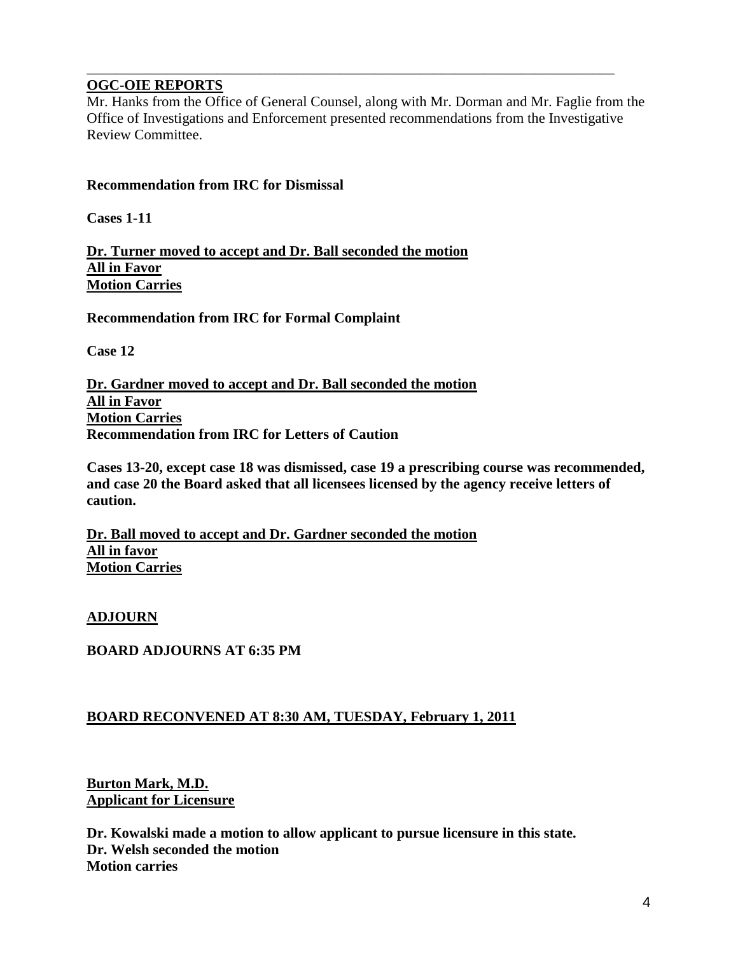### **OGC-OIE REPORTS**

Mr. Hanks from the Office of General Counsel, along with Mr. Dorman and Mr. Faglie from the Office of Investigations and Enforcement presented recommendations from the Investigative Review Committee.

\_\_\_\_\_\_\_\_\_\_\_\_\_\_\_\_\_\_\_\_\_\_\_\_\_\_\_\_\_\_\_\_\_\_\_\_\_\_\_\_\_\_\_\_\_\_\_\_\_\_\_\_\_\_\_\_\_\_\_\_\_\_\_\_\_\_\_\_\_\_\_\_\_

### **Recommendation from IRC for Dismissal**

**Cases 1-11**

**Dr. Turner moved to accept and Dr. Ball seconded the motion All in Favor Motion Carries**

**Recommendation from IRC for Formal Complaint**

**Case 12**

**Dr. Gardner moved to accept and Dr. Ball seconded the motion All in Favor Motion Carries Recommendation from IRC for Letters of Caution**

**Cases 13-20, except case 18 was dismissed, case 19 a prescribing course was recommended, and case 20 the Board asked that all licensees licensed by the agency receive letters of caution.**

**Dr. Ball moved to accept and Dr. Gardner seconded the motion All in favor Motion Carries**

**ADJOURN**

**BOARD ADJOURNS AT 6:35 PM**

#### **BOARD RECONVENED AT 8:30 AM, TUESDAY, February 1, 2011**

**Burton Mark, M.D. Applicant for Licensure**

**Dr. Kowalski made a motion to allow applicant to pursue licensure in this state. Dr. Welsh seconded the motion Motion carries**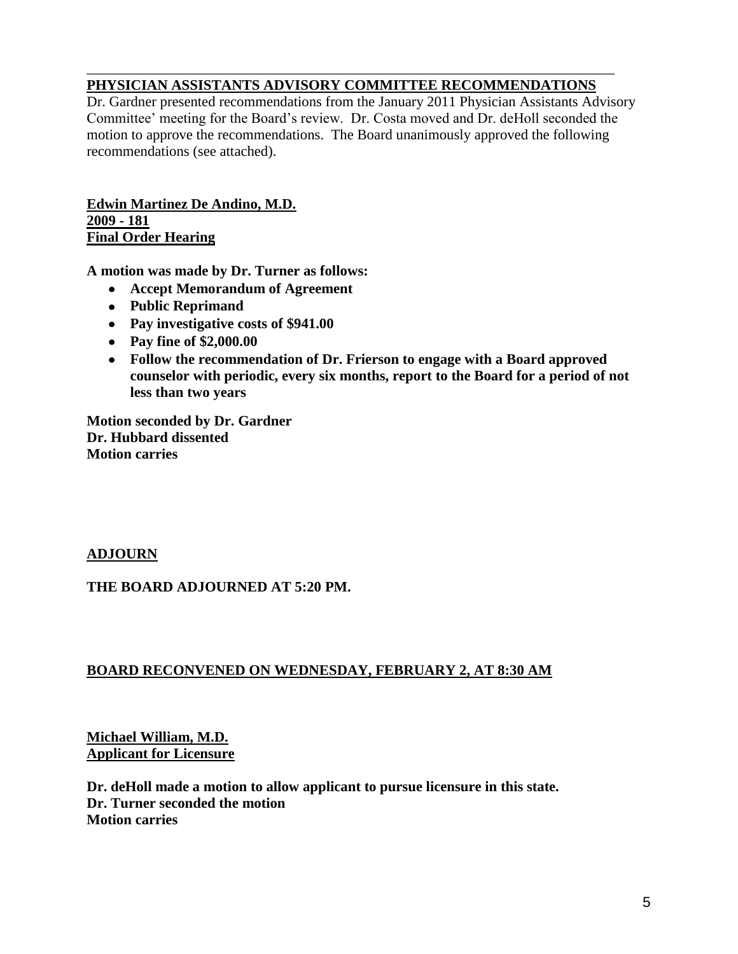## **PHYSICIAN ASSISTANTS ADVISORY COMMITTEE RECOMMENDATIONS**

\_\_\_\_\_\_\_\_\_\_\_\_\_\_\_\_\_\_\_\_\_\_\_\_\_\_\_\_\_\_\_\_\_\_\_\_\_\_\_\_\_\_\_\_\_\_\_\_\_\_\_\_\_\_\_\_\_\_\_\_\_\_\_\_\_\_\_\_\_\_\_\_\_

Dr. Gardner presented recommendations from the January 2011 Physician Assistants Advisory Committee' meeting for the Board's review. Dr. Costa moved and Dr. deHoll seconded the motion to approve the recommendations. The Board unanimously approved the following recommendations (see attached).

**Edwin Martinez De Andino, M.D. 2009 - 181 Final Order Hearing**

**A motion was made by Dr. Turner as follows:**

- **Accept Memorandum of Agreement**
- **Public Reprimand**
- **Pay investigative costs of \$941.00**
- **Pay fine of \$2,000.00**
- **Follow the recommendation of Dr. Frierson to engage with a Board approved counselor with periodic, every six months, report to the Board for a period of not less than two years**

**Motion seconded by Dr. Gardner Dr. Hubbard dissented Motion carries**

#### **ADJOURN**

#### **THE BOARD ADJOURNED AT 5:20 PM.**

## **BOARD RECONVENED ON WEDNESDAY, FEBRUARY 2, AT 8:30 AM**

## **Michael William, M.D. Applicant for Licensure**

**Dr. deHoll made a motion to allow applicant to pursue licensure in this state. Dr. Turner seconded the motion Motion carries**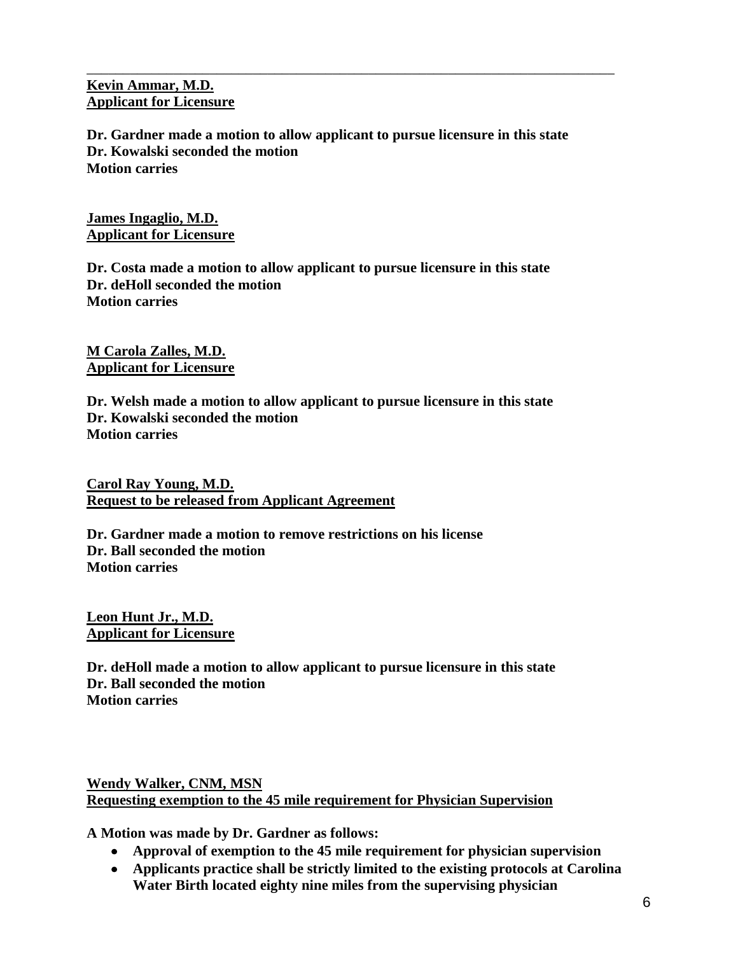### **Kevin Ammar, M.D. Applicant for Licensure**

**Dr. Gardner made a motion to allow applicant to pursue licensure in this state Dr. Kowalski seconded the motion Motion carries**

\_\_\_\_\_\_\_\_\_\_\_\_\_\_\_\_\_\_\_\_\_\_\_\_\_\_\_\_\_\_\_\_\_\_\_\_\_\_\_\_\_\_\_\_\_\_\_\_\_\_\_\_\_\_\_\_\_\_\_\_\_\_\_\_\_\_\_\_\_\_\_\_\_

**James Ingaglio, M.D. Applicant for Licensure**

**Dr. Costa made a motion to allow applicant to pursue licensure in this state Dr. deHoll seconded the motion Motion carries**

**M Carola Zalles, M.D. Applicant for Licensure**

**Dr. Welsh made a motion to allow applicant to pursue licensure in this state Dr. Kowalski seconded the motion Motion carries**

**Carol Ray Young, M.D. Request to be released from Applicant Agreement**

**Dr. Gardner made a motion to remove restrictions on his license Dr. Ball seconded the motion Motion carries**

**Leon Hunt Jr., M.D. Applicant for Licensure**

**Dr. deHoll made a motion to allow applicant to pursue licensure in this state Dr. Ball seconded the motion Motion carries**

**Wendy Walker, CNM, MSN Requesting exemption to the 45 mile requirement for Physician Supervision**

**A Motion was made by Dr. Gardner as follows:**

- **Approval of exemption to the 45 mile requirement for physician supervision**
- **Applicants practice shall be strictly limited to the existing protocols at Carolina Water Birth located eighty nine miles from the supervising physician**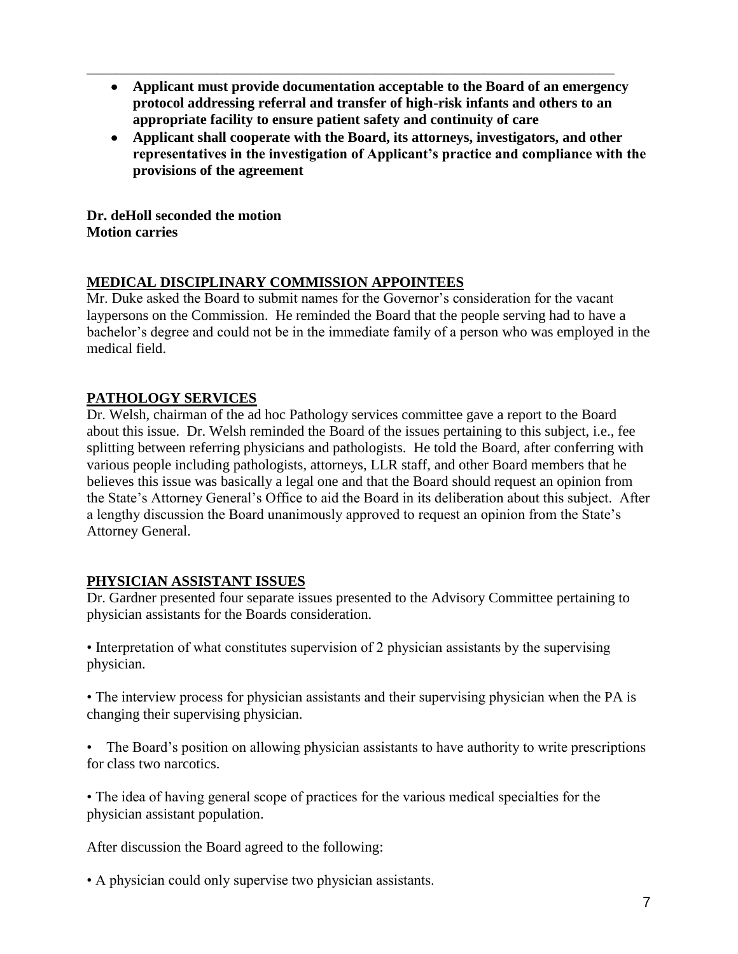**Applicant must provide documentation acceptable to the Board of an emergency protocol addressing referral and transfer of high-risk infants and others to an appropriate facility to ensure patient safety and continuity of care**

\_\_\_\_\_\_\_\_\_\_\_\_\_\_\_\_\_\_\_\_\_\_\_\_\_\_\_\_\_\_\_\_\_\_\_\_\_\_\_\_\_\_\_\_\_\_\_\_\_\_\_\_\_\_\_\_\_\_\_\_\_\_\_\_\_\_\_\_\_\_\_\_\_

**Applicant shall cooperate with the Board, its attorneys, investigators, and other representatives in the investigation of Applicant's practice and compliance with the provisions of the agreement**

**Dr. deHoll seconded the motion Motion carries**

# **MEDICAL DISCIPLINARY COMMISSION APPOINTEES**

Mr. Duke asked the Board to submit names for the Governor's consideration for the vacant laypersons on the Commission. He reminded the Board that the people serving had to have a bachelor's degree and could not be in the immediate family of a person who was employed in the medical field.

# **PATHOLOGY SERVICES**

Dr. Welsh, chairman of the ad hoc Pathology services committee gave a report to the Board about this issue. Dr. Welsh reminded the Board of the issues pertaining to this subject, i.e., fee splitting between referring physicians and pathologists. He told the Board, after conferring with various people including pathologists, attorneys, LLR staff, and other Board members that he believes this issue was basically a legal one and that the Board should request an opinion from the State's Attorney General's Office to aid the Board in its deliberation about this subject. After a lengthy discussion the Board unanimously approved to request an opinion from the State's Attorney General.

## **PHYSICIAN ASSISTANT ISSUES**

Dr. Gardner presented four separate issues presented to the Advisory Committee pertaining to physician assistants for the Boards consideration.

• Interpretation of what constitutes supervision of 2 physician assistants by the supervising physician.

• The interview process for physician assistants and their supervising physician when the PA is changing their supervising physician.

• The Board's position on allowing physician assistants to have authority to write prescriptions for class two narcotics.

• The idea of having general scope of practices for the various medical specialties for the physician assistant population.

After discussion the Board agreed to the following:

• A physician could only supervise two physician assistants.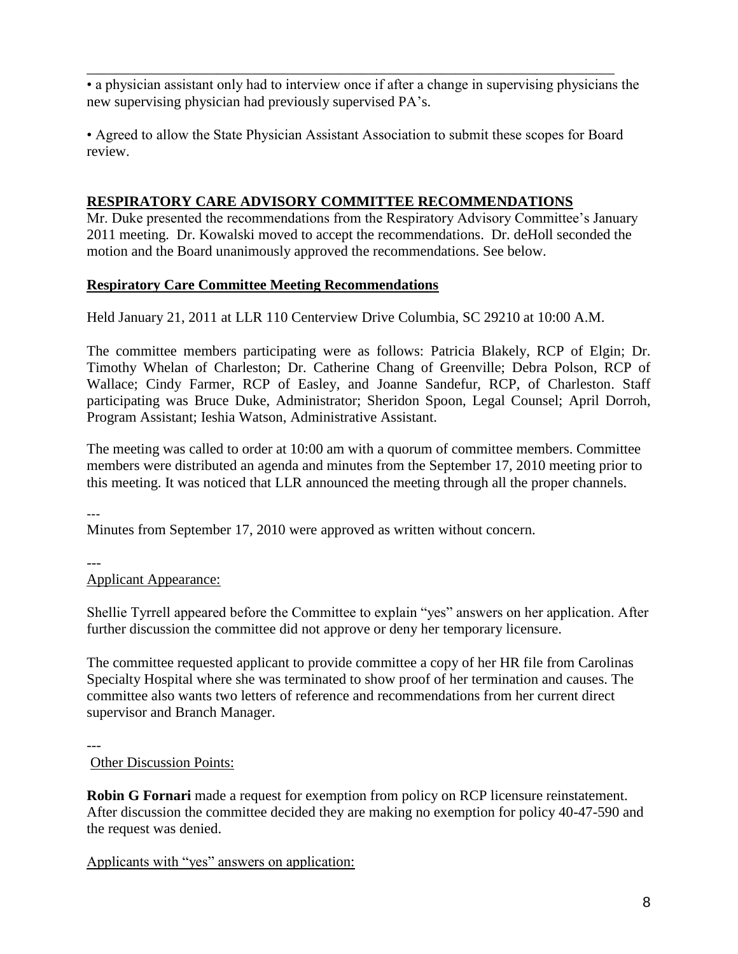\_\_\_\_\_\_\_\_\_\_\_\_\_\_\_\_\_\_\_\_\_\_\_\_\_\_\_\_\_\_\_\_\_\_\_\_\_\_\_\_\_\_\_\_\_\_\_\_\_\_\_\_\_\_\_\_\_\_\_\_\_\_\_\_\_\_\_\_\_\_\_\_\_ • a physician assistant only had to interview once if after a change in supervising physicians the new supervising physician had previously supervised PA's.

• Agreed to allow the State Physician Assistant Association to submit these scopes for Board review.

# **RESPIRATORY CARE ADVISORY COMMITTEE RECOMMENDATIONS**

Mr. Duke presented the recommendations from the Respiratory Advisory Committee's January 2011 meeting. Dr. Kowalski moved to accept the recommendations. Dr. deHoll seconded the motion and the Board unanimously approved the recommendations. See below.

# **Respiratory Care Committee Meeting Recommendations**

Held January 21, 2011 at LLR 110 Centerview Drive Columbia, SC 29210 at 10:00 A.M.

The committee members participating were as follows: Patricia Blakely, RCP of Elgin; Dr. Timothy Whelan of Charleston; Dr. Catherine Chang of Greenville; Debra Polson, RCP of Wallace; Cindy Farmer, RCP of Easley, and Joanne Sandefur, RCP, of Charleston. Staff participating was Bruce Duke, Administrator; Sheridon Spoon, Legal Counsel; April Dorroh, Program Assistant; Ieshia Watson, Administrative Assistant.

The meeting was called to order at 10:00 am with a quorum of committee members. Committee members were distributed an agenda and minutes from the September 17, 2010 meeting prior to this meeting. It was noticed that LLR announced the meeting through all the proper channels.

---

Minutes from September 17, 2010 were approved as written without concern.

---

Applicant Appearance:

Shellie Tyrrell appeared before the Committee to explain "yes" answers on her application. After further discussion the committee did not approve or deny her temporary licensure.

The committee requested applicant to provide committee a copy of her HR file from Carolinas Specialty Hospital where she was terminated to show proof of her termination and causes. The committee also wants two letters of reference and recommendations from her current direct supervisor and Branch Manager.

---

Other Discussion Points:

**Robin G Fornari** made a request for exemption from policy on RCP licensure reinstatement. After discussion the committee decided they are making no exemption for policy 40-47-590 and the request was denied.

Applicants with "yes" answers on application: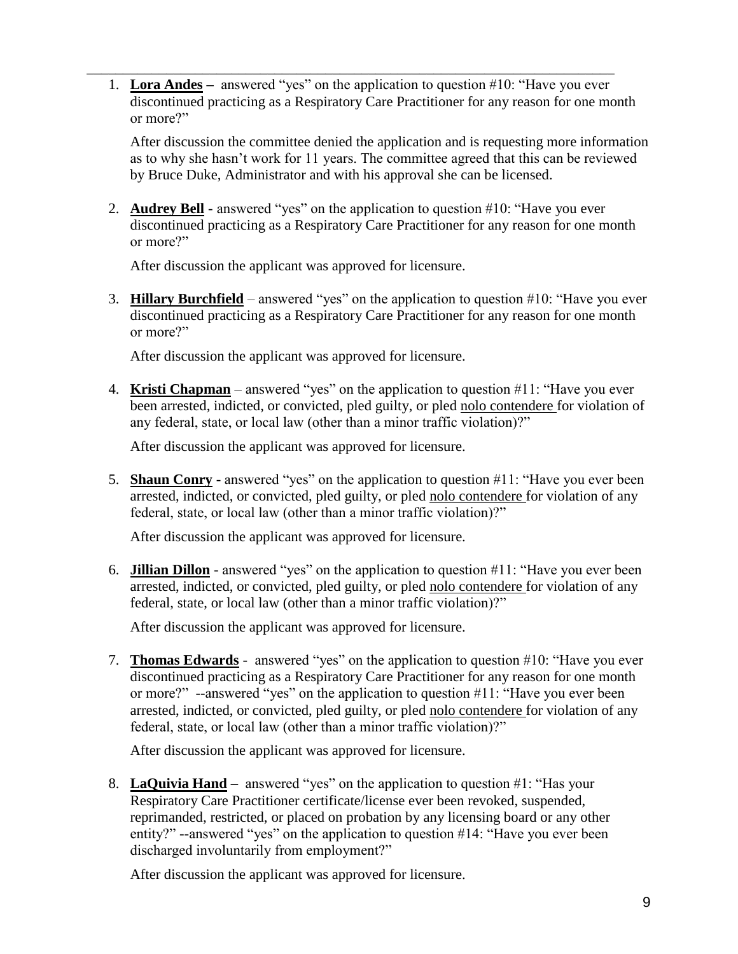1. **Lora Andes –** answered "yes" on the application to question #10: "Have you ever discontinued practicing as a Respiratory Care Practitioner for any reason for one month or more?"

\_\_\_\_\_\_\_\_\_\_\_\_\_\_\_\_\_\_\_\_\_\_\_\_\_\_\_\_\_\_\_\_\_\_\_\_\_\_\_\_\_\_\_\_\_\_\_\_\_\_\_\_\_\_\_\_\_\_\_\_\_\_\_\_\_\_\_\_\_\_\_\_\_

After discussion the committee denied the application and is requesting more information as to why she hasn't work for 11 years. The committee agreed that this can be reviewed by Bruce Duke, Administrator and with his approval she can be licensed.

2. **Audrey Bell** - answered "yes" on the application to question #10: "Have you ever discontinued practicing as a Respiratory Care Practitioner for any reason for one month or more?"

After discussion the applicant was approved for licensure.

3. **Hillary Burchfield** – answered "yes" on the application to question #10: "Have you ever discontinued practicing as a Respiratory Care Practitioner for any reason for one month or more?"

After discussion the applicant was approved for licensure.

4. **Kristi Chapman** – answered "yes" on the application to question #11: "Have you ever been arrested, indicted, or convicted, pled guilty, or pled nolo contendere for violation of any federal, state, or local law (other than a minor traffic violation)?"

After discussion the applicant was approved for licensure.

5. **Shaun Conry** - answered "yes" on the application to question #11: "Have you ever been arrested, indicted, or convicted, pled guilty, or pled nolo contendere for violation of any federal, state, or local law (other than a minor traffic violation)?"

After discussion the applicant was approved for licensure.

6. **Jillian Dillon** - answered "yes" on the application to question #11: "Have you ever been arrested, indicted, or convicted, pled guilty, or pled nolo contendere for violation of any federal, state, or local law (other than a minor traffic violation)?"

After discussion the applicant was approved for licensure.

7. **Thomas Edwards** - answered "yes" on the application to question #10: "Have you ever discontinued practicing as a Respiratory Care Practitioner for any reason for one month or more?" --answered "yes" on the application to question #11: "Have you ever been arrested, indicted, or convicted, pled guilty, or pled nolo contendere for violation of any federal, state, or local law (other than a minor traffic violation)?"

After discussion the applicant was approved for licensure.

8. **LaQuivia Hand** – answered "yes" on the application to question #1: "Has your Respiratory Care Practitioner certificate/license ever been revoked, suspended, reprimanded, restricted, or placed on probation by any licensing board or any other entity?" --answered "yes" on the application to question #14: "Have you ever been discharged involuntarily from employment?"

After discussion the applicant was approved for licensure.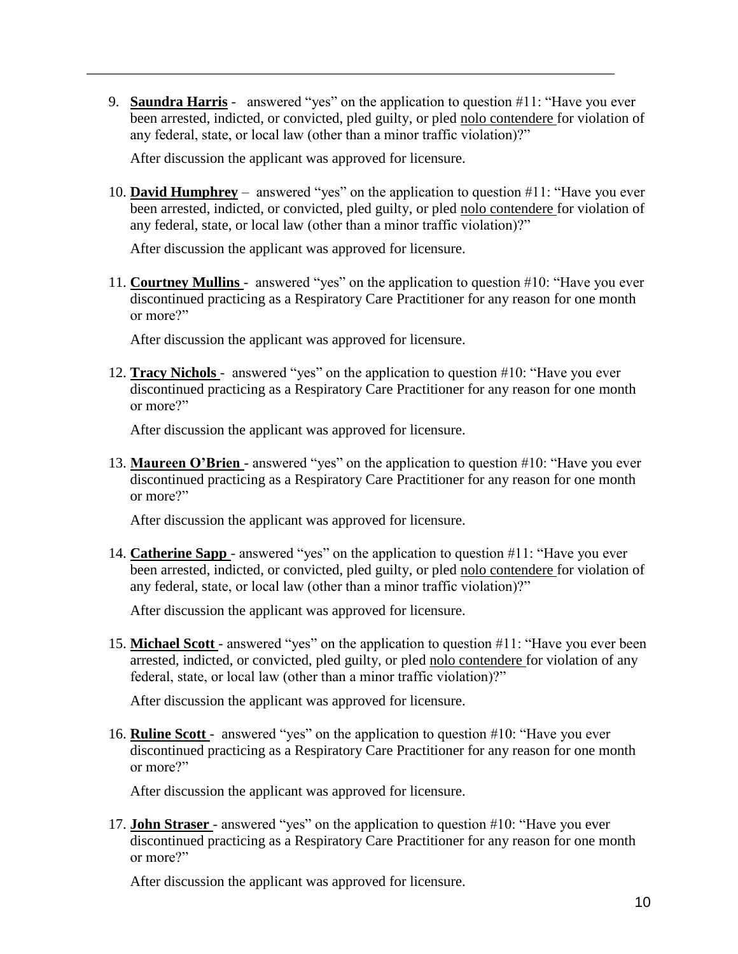9. **Saundra Harris** - answered "yes" on the application to question #11: "Have you ever been arrested, indicted, or convicted, pled guilty, or pled nolo contendere for violation of any federal, state, or local law (other than a minor traffic violation)?"

\_\_\_\_\_\_\_\_\_\_\_\_\_\_\_\_\_\_\_\_\_\_\_\_\_\_\_\_\_\_\_\_\_\_\_\_\_\_\_\_\_\_\_\_\_\_\_\_\_\_\_\_\_\_\_\_\_\_\_\_\_\_\_\_\_\_\_\_\_\_\_\_\_

After discussion the applicant was approved for licensure.

10. **David Humphrey** – answered "yes" on the application to question #11: "Have you ever been arrested, indicted, or convicted, pled guilty, or pled nolo contendere for violation of any federal, state, or local law (other than a minor traffic violation)?"

After discussion the applicant was approved for licensure.

11. **Courtney Mullins** - answered "yes" on the application to question #10: "Have you ever discontinued practicing as a Respiratory Care Practitioner for any reason for one month or more?"

After discussion the applicant was approved for licensure.

12. **Tracy Nichols** - answered "yes" on the application to question #10: "Have you ever discontinued practicing as a Respiratory Care Practitioner for any reason for one month or more?"

After discussion the applicant was approved for licensure.

13. **Maureen O'Brien** - answered "yes" on the application to question #10: "Have you ever discontinued practicing as a Respiratory Care Practitioner for any reason for one month or more?"

After discussion the applicant was approved for licensure.

14. **Catherine Sapp** - answered "yes" on the application to question #11: "Have you ever been arrested, indicted, or convicted, pled guilty, or pled nolo contendere for violation of any federal, state, or local law (other than a minor traffic violation)?"

After discussion the applicant was approved for licensure.

15. **Michael Scott** - answered "yes" on the application to question #11: "Have you ever been arrested, indicted, or convicted, pled guilty, or pled nolo contendere for violation of any federal, state, or local law (other than a minor traffic violation)?"

After discussion the applicant was approved for licensure.

16. **Ruline Scott** - answered "yes" on the application to question #10: "Have you ever discontinued practicing as a Respiratory Care Practitioner for any reason for one month or more?"

After discussion the applicant was approved for licensure.

17. **John Straser** - answered "yes" on the application to question #10: "Have you ever discontinued practicing as a Respiratory Care Practitioner for any reason for one month or more?"

After discussion the applicant was approved for licensure.